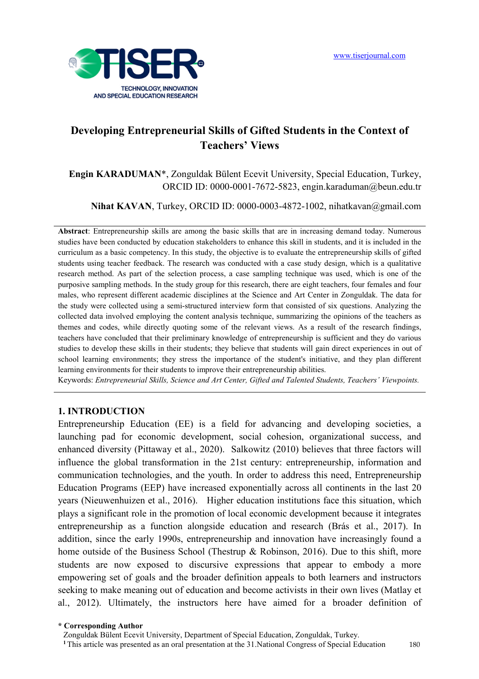

# **Developing Entrepreneurial Skills of Gifted Students in the Context of Teachers' Views**

**Engin KARADUMAN**\*, Zonguldak Bülent Ecevit University, Special Education, Turkey, ORCID ID: 0000-0001-7672-5823, engin.karaduman@beun.edu.tr

Nihat KAVAN, Turkey, ORCID ID: 0000-0003-4872-1002, nihatkavan@gmail.com

**Abstract**: Entrepreneurship skills are among the basic skills that are in increasing demand today. Numerous studies have been conducted by education stakeholders to enhance this skill in students, and it is included in the curriculum as a basic competency. In this study, the objective is to evaluate the entrepreneurship skills of gifted students using teacher feedback. The research was conducted with a case study design, which is a qualitative research method. As part of the selection process, a case sampling technique was used, which is one of the purposive sampling methods. In the study group for this research, there are eight teachers, four females and four males, who represent different academic disciplines at the Science and Art Center in Zonguldak. The data for the study were collected using a semi-structured interview form that consisted of six questions. Analyzing the collected data involved employing the content analysis technique, summarizing the opinions of the teachers as themes and codes, while directly quoting some of the relevant views. As a result of the research findings, teachers have concluded that their preliminary knowledge of entrepreneurship is sufficient and they do various studies to develop these skills in their students; they believe that students will gain direct experiences in out of school learning environments; they stress the importance of the student's initiative, and they plan different learning environments for their students to improve their entrepreneurship abilities.

Keywords: *Entrepreneurial Skills, Science and Art Center, Gifted and Talented Students, Teachers' Viewpoints.*

#### **1. INTRODUCTION**

Entrepreneurship Education (EE) is a field for advancing and developing societies, a launching pad for economic development, social cohesion, organizational success, and enhanced diversity (Pittaway et al., 2020). Salkowitz (2010) believes that three factors will influence the global transformation in the 21st century: entrepreneurship, information and communication technologies, and the youth. In order to address this need, Entrepreneurship Education Programs (EEP) have increased exponentially across all continents in the last 20 years (Nieuwenhuizen et al., 2016). Higher education institutions face this situation, which plays a significant role in the promotion of local economic development because it integrates entrepreneurship as a function alongside education and research (Brás et al., 2017). In addition, since the early 1990s, entrepreneurship and innovation have increasingly found a home outside of the Business School (Thestrup & Robinson, 2016). Due to this shift, more students are now exposed to discursive expressions that appear to embody a more empowering set of goals and the broader definition appeals to both learners and instructors seeking to make meaning out of education and become activists in their own lives (Matlay et al., 2012). Ultimately, the instructors here have aimed for a broader definition of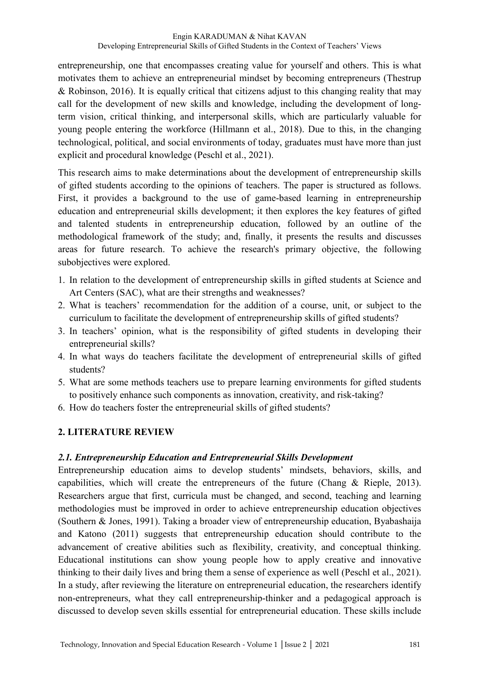entrepreneurship, one that encompasses creating value for yourself and others. This is what motivates them to achieve an entrepreneurial mindset by becoming entrepreneurs (Thestrup & Robinson, 2016). It is equally critical that citizens adjust to this changing reality that may call for the development of new skills and knowledge, including the development of longterm vision, critical thinking, and interpersonal skills, which are particularly valuable for young people entering the workforce (Hillmann et al., 2018). Due to this, in the changing technological, political, and social environments of today, graduates must have more than just explicit and procedural knowledge (Peschl et al., 2021).

This research aims to make determinations about the development of entrepreneurship skills of gifted students according to the opinions of teachers. The paper is structured as follows. First, it provides a background to the use of game-based learning in entrepreneurship education and entrepreneurial skills development; it then explores the key features of gifted and talented students in entrepreneurship education, followed by an outline of the methodological framework of the study; and, finally, it presents the results and discusses areas for future research. To achieve the research's primary objective, the following subobjectives were explored.

- 1. In relation to the development of entrepreneurship skills in gifted students at Science and Art Centers (SAC), what are their strengths and weaknesses?
- 2. What is teachers' recommendation for the addition of a course, unit, or subject to the curriculum to facilitate the development of entrepreneurship skills of gifted students?
- 3. In teachers' opinion, what is the responsibility of gifted students in developing their entrepreneurial skills?
- 4. In what ways do teachers facilitate the development of entrepreneurial skills of gifted students?
- 5. What are some methods teachers use to prepare learning environments for gifted students to positively enhance such components as innovation, creativity, and risk-taking?
- 6. How do teachers foster the entrepreneurial skills of gifted students?

# **2. LITERATURE REVIEW**

# *2.1. Entrepreneurship Education and Entrepreneurial Skills Development*

Entrepreneurship education aims to develop students' mindsets, behaviors, skills, and capabilities, which will create the entrepreneurs of the future (Chang & Rieple, 2013). Researchers argue that first, curricula must be changed, and second, teaching and learning methodologies must be improved in order to achieve entrepreneurship education objectives (Southern & Jones, 1991). Taking a broader view of entrepreneurship education, Byabashaija and Katono (2011) suggests that entrepreneurship education should contribute to the advancement of creative abilities such as flexibility, creativity, and conceptual thinking. Educational institutions can show young people how to apply creative and innovative thinking to their daily lives and bring them a sense of experience as well (Peschl et al., 2021). In a study, after reviewing the literature on entrepreneurial education, the researchers identify non-entrepreneurs, what they call entrepreneurship-thinker and a pedagogical approach is discussed to develop seven skills essential for entrepreneurial education. These skills include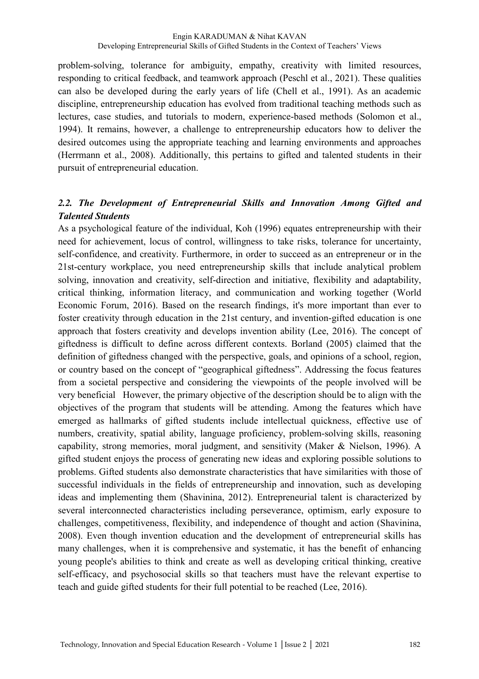problem-solving, tolerance for ambiguity, empathy, creativity with limited resources, responding to critical feedback, and teamwork approach (Peschl et al., 2021). These qualities can also be developed during the early years of life (Chell et al., 1991). As an academic discipline, entrepreneurship education has evolved from traditional teaching methods such as lectures, case studies, and tutorials to modern, experience-based methods (Solomon et al., 1994). It remains, however, a challenge to entrepreneurship educators how to deliver the desired outcomes using the appropriate teaching and learning environments and approaches (Herrmann et al., 2008). Additionally, this pertains to gifted and talented students in their pursuit of entrepreneurial education.

# *2.2. The Development of Entrepreneurial Skills and Innovation Among Gifted and Talented Students*

As a psychological feature of the individual, Koh (1996) equates entrepreneurship with their need for achievement, locus of control, willingness to take risks, tolerance for uncertainty, self-confidence, and creativity. Furthermore, in order to succeed as an entrepreneur or in the 21st-century workplace, you need entrepreneurship skills that include analytical problem solving, innovation and creativity, self-direction and initiative, flexibility and adaptability, critical thinking, information literacy, and communication and working together (World Economic Forum, 2016). Based on the research findings, it's more important than ever to foster creativity through education in the 21st century, and invention-gifted education is one approach that fosters creativity and develops invention ability (Lee, 2016). The concept of giftedness is difficult to define across different contexts. Borland (2005) claimed that the definition of giftedness changed with the perspective, goals, and opinions of a school, region, or country based on the concept of "geographical giftedness". Addressing the focus features from a societal perspective and considering the viewpoints of the people involved will be very beneficial However, the primary objective of the description should be to align with the objectives of the program that students will be attending. Among the features which have emerged as hallmarks of gifted students include intellectual quickness, effective use of numbers, creativity, spatial ability, language proficiency, problem-solving skills, reasoning capability, strong memories, moral judgment, and sensitivity (Maker & Nielson, 1996). A gifted student enjoys the process of generating new ideas and exploring possible solutions to problems. Gifted students also demonstrate characteristics that have similarities with those of successful individuals in the fields of entrepreneurship and innovation, such as developing ideas and implementing them (Shavinina, 2012). Entrepreneurial talent is characterized by several interconnected characteristics including perseverance, optimism, early exposure to challenges, competitiveness, flexibility, and independence of thought and action (Shavinina, 2008). Even though invention education and the development of entrepreneurial skills has many challenges, when it is comprehensive and systematic, it has the benefit of enhancing young people's abilities to think and create as well as developing critical thinking, creative self-efficacy, and psychosocial skills so that teachers must have the relevant expertise to teach and guide gifted students for their full potential to be reached (Lee, 2016).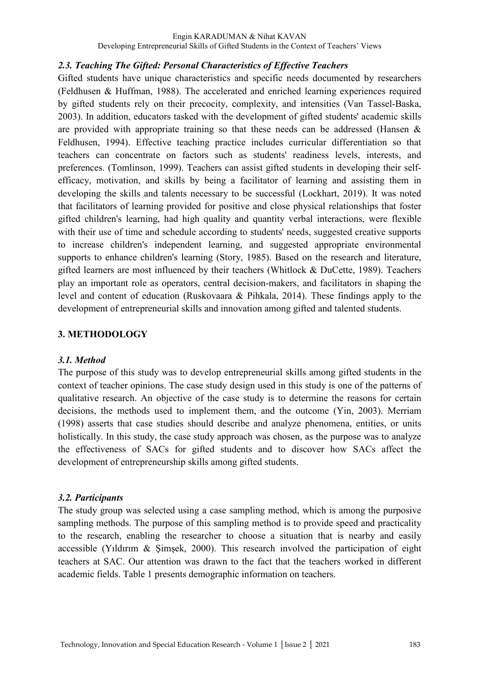#### *2.3. Teaching The Gifted: Personal Characteristics of Effective Teachers*

Gifted students have unique characteristics and specific needs documented by researchers (Feldhusen & Huffman, 1988). The accelerated and enriched learning experiences required by gifted students rely on their precocity, complexity, and intensities (Van Tassel-Baska, 2003). In addition, educators tasked with the development of gifted students' academic skills are provided with appropriate training so that these needs can be addressed (Hansen & Feldhusen, 1994). Effective teaching practice includes curricular differentiation so that teachers can concentrate on factors such as students' readiness levels, interests, and preferences. (Tomlinson, 1999). Teachers can assist gifted students in developing their selfefficacy, motivation, and skills by being a facilitator of learning and assisting them in developing the skills and talents necessary to be successful (Lockhart, 2019). It was noted that facilitators of learning provided for positive and close physical relationships that foster gifted children's learning, had high quality and quantity verbal interactions, were flexible with their use of time and schedule according to students' needs, suggested creative supports to increase children's independent learning, and suggested appropriate environmental supports to enhance children's learning (Story, 1985). Based on the research and literature, gifted learners are most influenced by their teachers (Whitlock & DuCette, 1989). Teachers play an important role as operators, central decision-makers, and facilitators in shaping the level and content of education (Ruskovaara & Pihkala, 2014). These findings apply to the development of entrepreneurial skills and innovation among gifted and talented students.

#### **3. METHODOLOGY**

#### *3.1. Method*

The purpose of this study was to develop entrepreneurial skills among gifted students in the context of teacher opinions. The case study design used in this study is one of the patterns of qualitative research. An objective of the case study is to determine the reasons for certain decisions, the methods used to implement them, and the outcome (Yin, 2003). Merriam (1998) asserts that case studies should describe and analyze phenomena, entities, or units holistically. In this study, the case study approach was chosen, as the purpose was to analyze the effectiveness of SACs for gifted students and to discover how SACs affect the development of entrepreneurship skills among gifted students.

#### *3.2. Participants*

The study group was selected using a case sampling method, which is among the purposive sampling methods. The purpose of this sampling method is to provide speed and practicality to the research, enabling the researcher to choose a situation that is nearby and easily accessible (Yıldırım & Şimşek, 2000). This research involved the participation of eight teachers at SAC. Our attention was drawn to the fact that the teachers worked in different academic fields. Table 1 presents demographic information on teachers.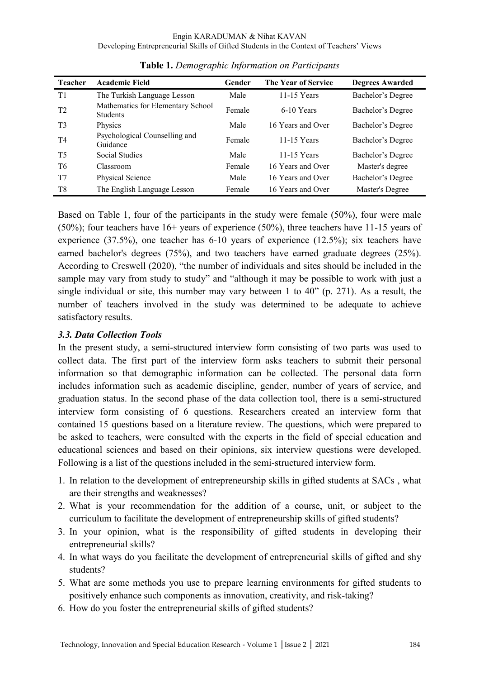| <b>Teacher</b> | <b>Academic Field</b>                                | Gender | The Year of Service | <b>Degrees Awarded</b> |
|----------------|------------------------------------------------------|--------|---------------------|------------------------|
| T1             | The Turkish Language Lesson                          | Male   | 11-15 Years         | Bachelor's Degree      |
| T <sub>2</sub> | Mathematics for Elementary School<br><b>Students</b> | Female | 6-10 Years          | Bachelor's Degree      |
| T3             | Physics                                              | Male   | 16 Years and Over   | Bachelor's Degree      |
| T <sub>4</sub> | Psychological Counselling and<br>Guidance            | Female | 11-15 Years         | Bachelor's Degree      |
| T5             | Social Studies                                       | Male   | 11-15 Years         | Bachelor's Degree      |
| T6             | Classroom                                            | Female | 16 Years and Over   | Master's degree        |
| T7             | Physical Science                                     | Male   | 16 Years and Over   | Bachelor's Degree      |
| T <sub>8</sub> | The English Language Lesson                          | Female | 16 Years and Over   | Master's Degree        |

**Table 1.** *Demographic Information on Participants* 

Based on Table 1, four of the participants in the study were female (50%), four were male (50%); four teachers have 16+ years of experience (50%), three teachers have 11-15 years of experience (37.5%), one teacher has 6-10 years of experience (12.5%); six teachers have earned bachelor's degrees (75%), and two teachers have earned graduate degrees (25%). According to Creswell (2020), "the number of individuals and sites should be included in the sample may vary from study to study" and "although it may be possible to work with just a single individual or site, this number may vary between 1 to 40" (p. 271). As a result, the number of teachers involved in the study was determined to be adequate to achieve satisfactory results.

## *3.3. Data Collection Tools*

In the present study, a semi-structured interview form consisting of two parts was used to collect data. The first part of the interview form asks teachers to submit their personal information so that demographic information can be collected. The personal data form includes information such as academic discipline, gender, number of years of service, and graduation status. In the second phase of the data collection tool, there is a semi-structured interview form consisting of 6 questions. Researchers created an interview form that contained 15 questions based on a literature review. The questions, which were prepared to be asked to teachers, were consulted with the experts in the field of special education and educational sciences and based on their opinions, six interview questions were developed. Following is a list of the questions included in the semi-structured interview form.

- 1. In relation to the development of entrepreneurship skills in gifted students at SACs , what are their strengths and weaknesses?
- 2. What is your recommendation for the addition of a course, unit, or subject to the curriculum to facilitate the development of entrepreneurship skills of gifted students?
- 3. In your opinion, what is the responsibility of gifted students in developing their entrepreneurial skills?
- 4. In what ways do you facilitate the development of entrepreneurial skills of gifted and shy students?
- 5. What are some methods you use to prepare learning environments for gifted students to positively enhance such components as innovation, creativity, and risk-taking?
- 6. How do you foster the entrepreneurial skills of gifted students?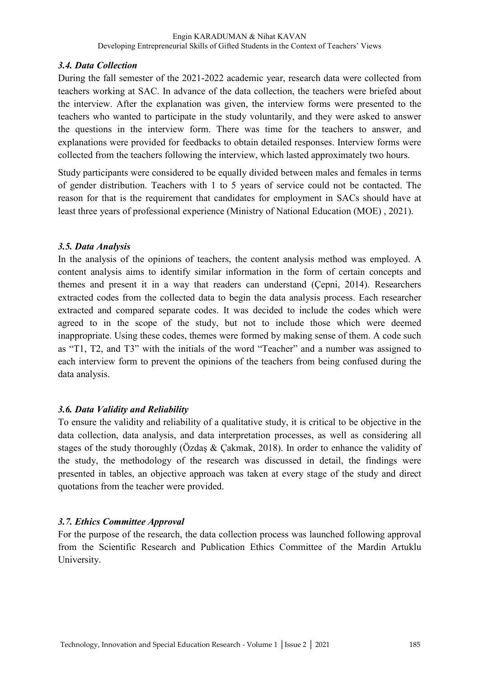#### *3.4. Data Collection*

During the fall semester of the 2021-2022 academic year, research data were collected from teachers working at SAC. In advance of the data collection, the teachers were briefed about the interview. After the explanation was given, the interview forms were presented to the teachers who wanted to participate in the study voluntarily, and they were asked to answer the questions in the interview form. There was time for the teachers to answer, and explanations were provided for feedbacks to obtain detailed responses. Interview forms were collected from the teachers following the interview, which lasted approximately two hours.

Study participants were considered to be equally divided between males and females in terms of gender distribution. Teachers with 1 to 5 years of service could not be contacted. The reason for that is the requirement that candidates for employment in SACs should have at least three years of professional experience (Ministry of National Education (MOE) , 2021).

## *3.5. Data Analysis*

In the analysis of the opinions of teachers, the content analysis method was employed. A content analysis aims to identify similar information in the form of certain concepts and themes and present it in a way that readers can understand (Çepni, 2014). Researchers extracted codes from the collected data to begin the data analysis process. Each researcher extracted and compared separate codes. It was decided to include the codes which were agreed to in the scope of the study, but not to include those which were deemed inappropriate. Using these codes, themes were formed by making sense of them. A code such as "T1, T2, and T3" with the initials of the word "Teacher" and a number was assigned to each interview form to prevent the opinions of the teachers from being confused during the data analysis.

# *3.6. Data Validity and Reliability*

To ensure the validity and reliability of a qualitative study, it is critical to be objective in the data collection, data analysis, and data interpretation processes, as well as considering all stages of the study thoroughly (Özdaş & Çakmak, 2018). In order to enhance the validity of the study, the methodology of the research was discussed in detail, the findings were presented in tables, an objective approach was taken at every stage of the study and direct quotations from the teacher were provided.

# *3.7. Ethics Committee Approval*

For the purpose of the research, the data collection process was launched following approval from the Scientific Research and Publication Ethics Committee of the Mardin Artuklu University.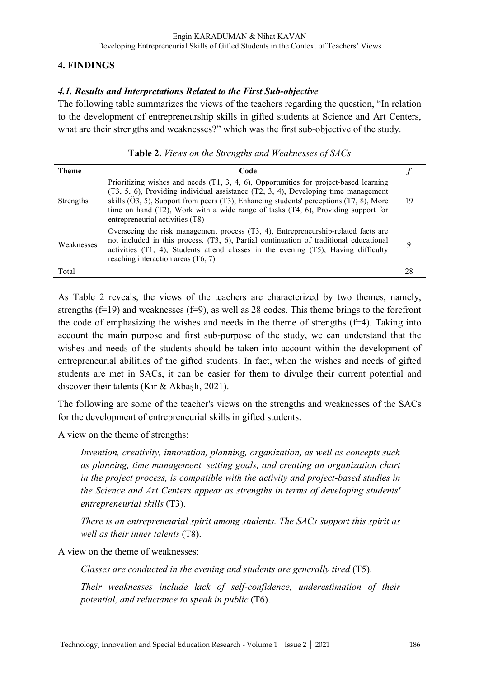### **4. FINDINGS**

### *4.1. Results and Interpretations Related to the First Sub-objective*

The following table summarizes the views of the teachers regarding the question, "In relation to the development of entrepreneurship skills in gifted students at Science and Art Centers, what are their strengths and weaknesses?" which was the first sub-objective of the study.

| <b>Theme</b> | Code                                                                                                                                                                                                                                                                                                                                                                                                   |    |
|--------------|--------------------------------------------------------------------------------------------------------------------------------------------------------------------------------------------------------------------------------------------------------------------------------------------------------------------------------------------------------------------------------------------------------|----|
| Strengths    | Prioritizing wishes and needs $(T1, 3, 4, 6)$ , Opportunities for project-based learning<br>(T3, 5, 6), Providing individual assistance (T2, 3, 4), Developing time management<br>skills (Ö3, 5), Support from peers (T3), Enhancing students' perceptions (T7, 8), More<br>time on hand $(T2)$ , Work with a wide range of tasks $(T4, 6)$ , Providing support for<br>entrepreneurial activities (T8) | 19 |
| Weaknesses   | Overseeing the risk management process $(T3, 4)$ , Entrepreneurship-related facts are<br>not included in this process. (T3, 6), Partial continuation of traditional educational<br>activities $(T1, 4)$ , Students attend classes in the evening $(T5)$ , Having difficulty<br>reaching interaction areas $(T6, 7)$                                                                                    | Q  |
| Total        |                                                                                                                                                                                                                                                                                                                                                                                                        | 28 |

#### **Table 2.** *Views on the Strengths and Weaknesses of SACs*

As Table 2 reveals, the views of the teachers are characterized by two themes, namely, strengths ( $f=19$ ) and weaknesses ( $f=9$ ), as well as 28 codes. This theme brings to the forefront the code of emphasizing the wishes and needs in the theme of strengths  $(f=4)$ . Taking into account the main purpose and first sub-purpose of the study, we can understand that the wishes and needs of the students should be taken into account within the development of entrepreneurial abilities of the gifted students. In fact, when the wishes and needs of gifted students are met in SACs, it can be easier for them to divulge their current potential and discover their talents (Kır & Akbaşlı, 2021).

The following are some of the teacher's views on the strengths and weaknesses of the SACs for the development of entrepreneurial skills in gifted students.

A view on the theme of strengths:

*Invention, creativity, innovation, planning, organization, as well as concepts such as planning, time management, setting goals, and creating an organization chart in the project process, is compatible with the activity and project-based studies in the Science and Art Centers appear as strengths in terms of developing students' entrepreneurial skills* (T3).

*There is an entrepreneurial spirit among students. The SACs support this spirit as well as their inner talents* (T8).

A view on the theme of weaknesses:

*Classes are conducted in the evening and students are generally tired* (T5).

*Their weaknesses include lack of self-confidence, underestimation of their potential, and reluctance to speak in public* (T6).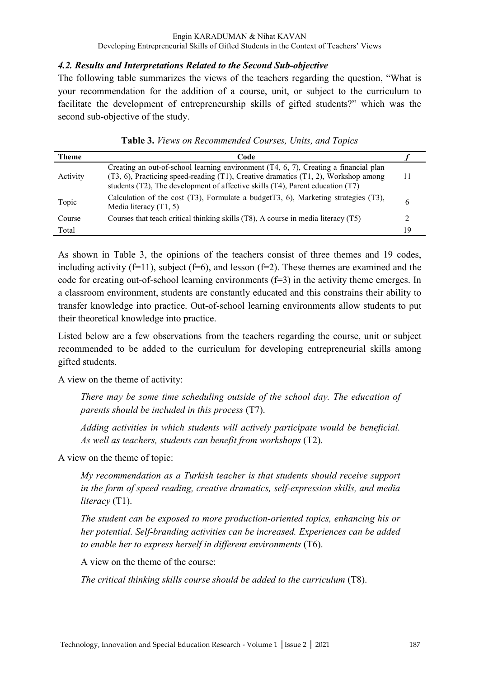#### *4.2. Results and Interpretations Related to the Second Sub-objective*

The following table summarizes the views of the teachers regarding the question, "What is your recommendation for the addition of a course, unit, or subject to the curriculum to facilitate the development of entrepreneurship skills of gifted students?" which was the second sub-objective of the study.

| <b>Theme</b> | Code                                                                                                                                                                                                                                                                             |    |
|--------------|----------------------------------------------------------------------------------------------------------------------------------------------------------------------------------------------------------------------------------------------------------------------------------|----|
| Activity     | Creating an out-of-school learning environment $(T4, 6, 7)$ , Creating a financial plan<br>$(T3, 6)$ , Practicing speed-reading $(T1)$ , Creative dramatics $(T1, 2)$ , Workshop among<br>students $(T2)$ , The development of affective skills $(T4)$ , Parent education $(T7)$ |    |
| Topic        | Calculation of the cost $(T3)$ , Formulate a budget $T3$ , 6), Marketing strategies $(T3)$ ,<br>Media literacy $(T1, 5)$                                                                                                                                                         |    |
| Course       | Courses that teach critical thinking skills (T8), A course in media literacy (T5)                                                                                                                                                                                                |    |
| Total        |                                                                                                                                                                                                                                                                                  | 19 |

|  |  |  | Table 3. Views on Recommended Courses, Units, and Topics |  |  |  |  |  |
|--|--|--|----------------------------------------------------------|--|--|--|--|--|
|--|--|--|----------------------------------------------------------|--|--|--|--|--|

As shown in Table 3, the opinions of the teachers consist of three themes and 19 codes, including activity  $(f=11)$ , subject  $(f=6)$ , and lesson  $(f=2)$ . These themes are examined and the code for creating out-of-school learning environments  $(f=3)$  in the activity theme emerges. In a classroom environment, students are constantly educated and this constrains their ability to transfer knowledge into practice. Out-of-school learning environments allow students to put their theoretical knowledge into practice.

Listed below are a few observations from the teachers regarding the course, unit or subject recommended to be added to the curriculum for developing entrepreneurial skills among gifted students.

A view on the theme of activity:

*There may be some time scheduling outside of the school day. The education of parents should be included in this process* (T7).

*Adding activities in which students will actively participate would be beneficial. As well as teachers, students can benefit from workshops* (T2).

A view on the theme of topic:

*My recommendation as a Turkish teacher is that students should receive support in the form of speed reading, creative dramatics, self-expression skills, and media literacy* (T1).

*The student can be exposed to more production-oriented topics, enhancing his or her potential. Self-branding activities can be increased. Experiences can be added to enable her to express herself in different environments* (T6).

A view on the theme of the course:

*The critical thinking skills course should be added to the curriculum* (T8).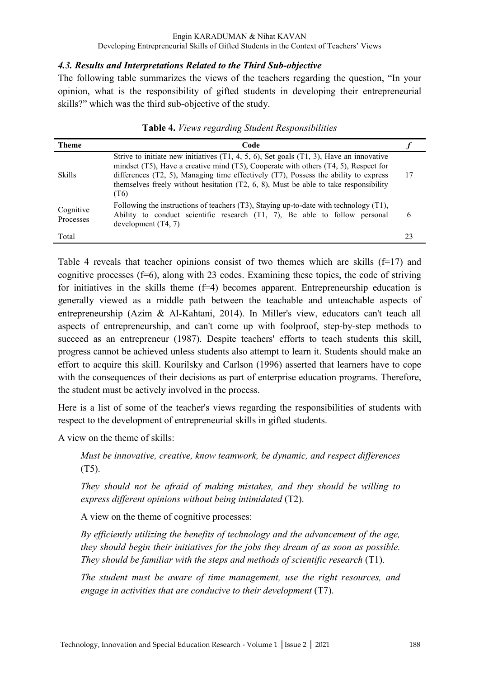### *4.3. Results and Interpretations Related to the Third Sub-objective*

The following table summarizes the views of the teachers regarding the question, "In your opinion, what is the responsibility of gifted students in developing their entrepreneurial skills?" which was the third sub-objective of the study.

| <b>Theme</b>           | Code                                                                                                                                                                                                                                                                                                                                                                                          |    |
|------------------------|-----------------------------------------------------------------------------------------------------------------------------------------------------------------------------------------------------------------------------------------------------------------------------------------------------------------------------------------------------------------------------------------------|----|
| <b>Skills</b>          | Strive to initiate new initiatives $(T1, 4, 5, 6)$ , Set goals $(T1, 3)$ , Have an innovative<br>mindset $(T5)$ , Have a creative mind $(T5)$ , Cooperate with others $(T4, 5)$ , Respect for<br>differences $(T2, 5)$ , Managing time effectively $(T7)$ , Possess the ability to express<br>themselves freely without hesitation $(T2, 6, 8)$ , Must be able to take responsibility<br>(T6) | 17 |
| Cognitive<br>Processes | Following the instructions of teachers $(T3)$ , Staying up-to-date with technology $(T1)$ ,<br>Ability to conduct scientific research (T1, 7), Be able to follow personal<br>development $(T4, 7)$                                                                                                                                                                                            | 6  |
| Total                  |                                                                                                                                                                                                                                                                                                                                                                                               | 23 |

**Table 4.** *Views regarding Student Responsibilities* 

Table 4 reveals that teacher opinions consist of two themes which are skills  $(f=17)$  and cognitive processes  $(f=6)$ , along with 23 codes. Examining these topics, the code of striving for initiatives in the skills theme (f=4) becomes apparent. Entrepreneurship education is generally viewed as a middle path between the teachable and unteachable aspects of entrepreneurship (Azim & Al-Kahtani, 2014). In Miller's view, educators can't teach all aspects of entrepreneurship, and can't come up with foolproof, step-by-step methods to succeed as an entrepreneur (1987). Despite teachers' efforts to teach students this skill, progress cannot be achieved unless students also attempt to learn it. Students should make an effort to acquire this skill. Kourilsky and Carlson (1996) asserted that learners have to cope with the consequences of their decisions as part of enterprise education programs. Therefore, the student must be actively involved in the process.

Here is a list of some of the teacher's views regarding the responsibilities of students with respect to the development of entrepreneurial skills in gifted students.

A view on the theme of skills:

*Must be innovative, creative, know teamwork, be dynamic, and respect differences* (T5).

*They should not be afraid of making mistakes, and they should be willing to express different opinions without being intimidated* (T2).

A view on the theme of cognitive processes:

*By efficiently utilizing the benefits of technology and the advancement of the age, they should begin their initiatives for the jobs they dream of as soon as possible. They should be familiar with the steps and methods of scientific research* (T1).

*The student must be aware of time management, use the right resources, and engage in activities that are conducive to their development* (T7).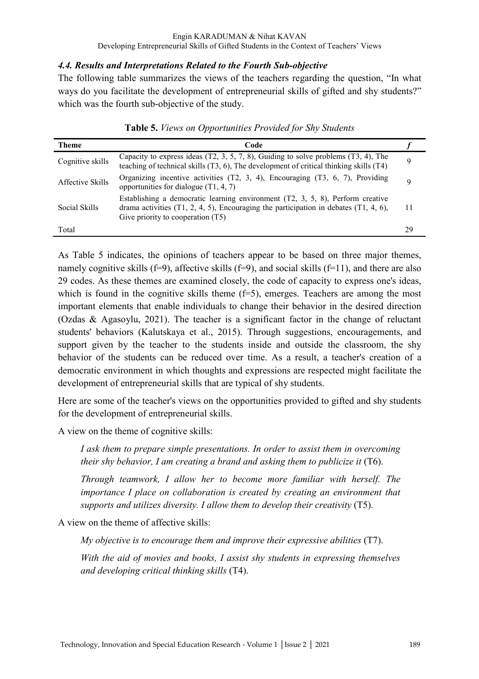### *4.4. Results and Interpretations Related to the Fourth Sub-objective*

The following table summarizes the views of the teachers regarding the question, "In what ways do you facilitate the development of entrepreneurial skills of gifted and shy students?" which was the fourth sub-objective of the study.

| Theme            | Code                                                                                                                                                                                                                 |    |
|------------------|----------------------------------------------------------------------------------------------------------------------------------------------------------------------------------------------------------------------|----|
| Cognitive skills | Capacity to express ideas $(T2, 3, 5, 7, 8)$ , Guiding to solve problems $(T3, 4)$ , The<br>teaching of technical skills (T3, 6), The development of critical thinking skills (T4)                                   |    |
| Affective Skills | Organizing incentive activities $(T2, 3, 4)$ , Encouraging $(T3, 6, 7)$ , Providing<br>opportunities for dialogue $(T1, 4, 7)$                                                                                       |    |
| Social Skills    | Establishing a democratic learning environment $(T2, 3, 5, 8)$ , Perform creative<br>drama activities $(T1, 2, 4, 5)$ , Encouraging the participation in debates $(T1, 4, 6)$ ,<br>Give priority to cooperation (T5) | 11 |
| Total            |                                                                                                                                                                                                                      | 29 |

**Table 5.** *Views on Opportunities Provided for Shy Students* 

As Table 5 indicates, the opinions of teachers appear to be based on three major themes, namely cognitive skills (f=9), affective skills (f=9), and social skills (f=11), and there are also 29 codes. As these themes are examined closely, the code of capacity to express one's ideas, which is found in the cognitive skills theme  $(f=5)$ , emerges. Teachers are among the most important elements that enable individuals to change their behavior in the desired direction (Ozdas & Agasoylu, 2021). The teacher is a significant factor in the change of reluctant students' behaviors (Kalutskaya et al., 2015). Through suggestions, encouragements, and support given by the teacher to the students inside and outside the classroom, the shy behavior of the students can be reduced over time. As a result, a teacher's creation of a democratic environment in which thoughts and expressions are respected might facilitate the development of entrepreneurial skills that are typical of shy students.

Here are some of the teacher's views on the opportunities provided to gifted and shy students for the development of entrepreneurial skills.

A view on the theme of cognitive skills:

*I ask them to prepare simple presentations. In order to assist them in overcoming their shy behavior, I am creating a brand and asking them to publicize it* (T6).

*Through teamwork, I allow her to become more familiar with herself. The importance I place on collaboration is created by creating an environment that supports and utilizes diversity. I allow them to develop their creativity* (T5).

A view on the theme of affective skills:

*My objective is to encourage them and improve their expressive abilities* (T7).

*With the aid of movies and books, I assist shy students in expressing themselves and developing critical thinking skills* (T4).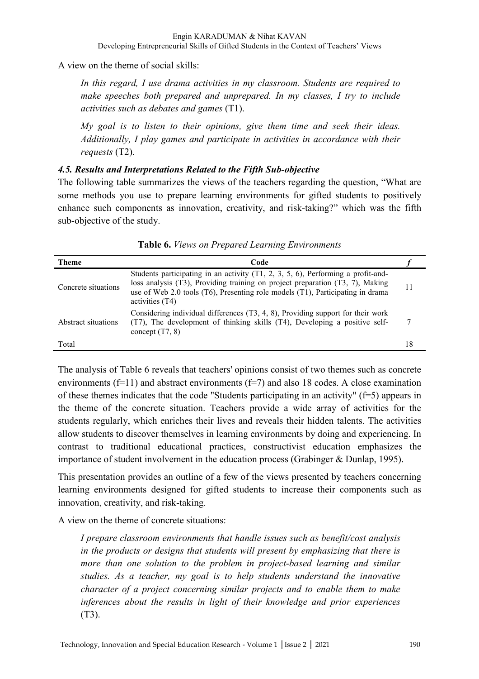A view on the theme of social skills:

*In this regard, I use drama activities in my classroom. Students are required to make speeches both prepared and unprepared. In my classes, I try to include activities such as debates and games* (T1).

*My goal is to listen to their opinions, give them time and seek their ideas. Additionally, I play games and participate in activities in accordance with their requests* (T2).

## *4.5. Results and Interpretations Related to the Fifth Sub-objective*

The following table summarizes the views of the teachers regarding the question, "What are some methods you use to prepare learning environments for gifted students to positively enhance such components as innovation, creativity, and risk-taking?" which was the fifth sub-objective of the study.

| <b>Theme</b>        | Code                                                                                                                                                                                                                                                                        |    |
|---------------------|-----------------------------------------------------------------------------------------------------------------------------------------------------------------------------------------------------------------------------------------------------------------------------|----|
| Concrete situations | Students participating in an activity $(T1, 2, 3, 5, 6)$ , Performing a profit-and-<br>loss analysis (T3), Providing training on project preparation (T3, 7), Making<br>use of Web 2.0 tools (T6), Presenting role models (T1), Participating in drama<br>activities $(T4)$ | 11 |
| Abstract situations | Considering individual differences (T3, 4, 8), Providing support for their work<br>(T7), The development of thinking skills (T4), Developing a positive self-<br>concept $(T7, 8)$                                                                                          |    |
| Total               |                                                                                                                                                                                                                                                                             | 18 |

**Table 6.** *Views on Prepared Learning Environments* 

The analysis of Table 6 reveals that teachers' opinions consist of two themes such as concrete environments ( $f=11$ ) and abstract environments ( $f=7$ ) and also 18 codes. A close examination of these themes indicates that the code "Students participating in an activity" (f=5) appears in the theme of the concrete situation. Teachers provide a wide array of activities for the students regularly, which enriches their lives and reveals their hidden talents. The activities allow students to discover themselves in learning environments by doing and experiencing. In contrast to traditional educational practices, constructivist education emphasizes the importance of student involvement in the education process (Grabinger & Dunlap, 1995).

This presentation provides an outline of a few of the views presented by teachers concerning learning environments designed for gifted students to increase their components such as innovation, creativity, and risk-taking.

A view on the theme of concrete situations:

*I prepare classroom environments that handle issues such as benefit/cost analysis in the products or designs that students will present by emphasizing that there is more than one solution to the problem in project-based learning and similar studies. As a teacher, my goal is to help students understand the innovative character of a project concerning similar projects and to enable them to make inferences about the results in light of their knowledge and prior experiences* (T3).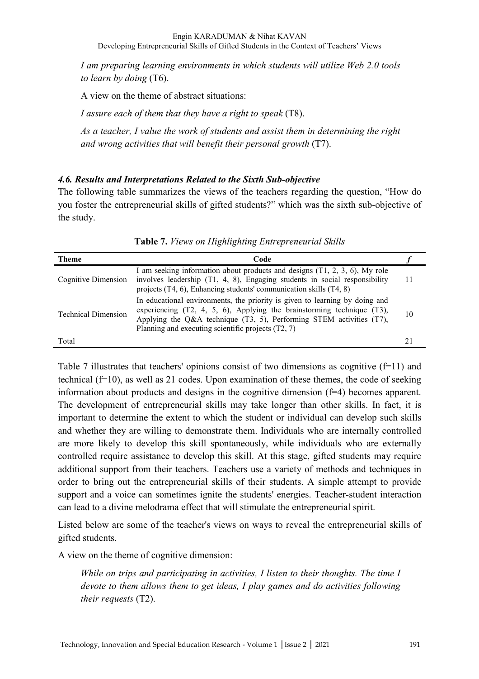*I am preparing learning environments in which students will utilize Web 2.0 tools to learn by doing* (T6).

A view on the theme of abstract situations:

*I assure each of them that they have a right to speak* (T8).

*As a teacher, I value the work of students and assist them in determining the right and wrong activities that will benefit their personal growth* (T7).

#### *4.6. Results and Interpretations Related to the Sixth Sub-objective*

The following table summarizes the views of the teachers regarding the question, "How do you foster the entrepreneurial skills of gifted students?" which was the sixth sub-objective of the study.

| Theme                      | Code                                                                                                                                                                                                                                                                                            |    |
|----------------------------|-------------------------------------------------------------------------------------------------------------------------------------------------------------------------------------------------------------------------------------------------------------------------------------------------|----|
| Cognitive Dimension        | I am seeking information about products and designs $(T1, 2, 3, 6)$ , My role<br>involves leadership (T1, 4, 8), Engaging students in social responsibility<br>projects $(T4, 6)$ , Enhancing students' communication skills $(T4, 8)$                                                          |    |
| <b>Technical Dimension</b> | In educational environments, the priority is given to learning by doing and<br>experiencing $(T2, 4, 5, 6)$ , Applying the brainstorming technique $(T3)$ ,<br>Applying the Q&A technique $(T3, 5)$ , Performing STEM activities $(T7)$ ,<br>Planning and executing scientific projects (T2, 7) | 10 |
| Total                      |                                                                                                                                                                                                                                                                                                 |    |

**Table 7.** *Views on Highlighting Entrepreneurial Skills* 

Table 7 illustrates that teachers' opinions consist of two dimensions as cognitive  $(f=11)$  and technical (f=10), as well as 21 codes. Upon examination of these themes, the code of seeking information about products and designs in the cognitive dimension (f=4) becomes apparent. The development of entrepreneurial skills may take longer than other skills. In fact, it is important to determine the extent to which the student or individual can develop such skills and whether they are willing to demonstrate them. Individuals who are internally controlled are more likely to develop this skill spontaneously, while individuals who are externally controlled require assistance to develop this skill. At this stage, gifted students may require additional support from their teachers. Teachers use a variety of methods and techniques in order to bring out the entrepreneurial skills of their students. A simple attempt to provide support and a voice can sometimes ignite the students' energies. Teacher-student interaction can lead to a divine melodrama effect that will stimulate the entrepreneurial spirit.

Listed below are some of the teacher's views on ways to reveal the entrepreneurial skills of gifted students.

A view on the theme of cognitive dimension:

*While on trips and participating in activities, I listen to their thoughts. The time I devote to them allows them to get ideas, I play games and do activities following their requests* (T2).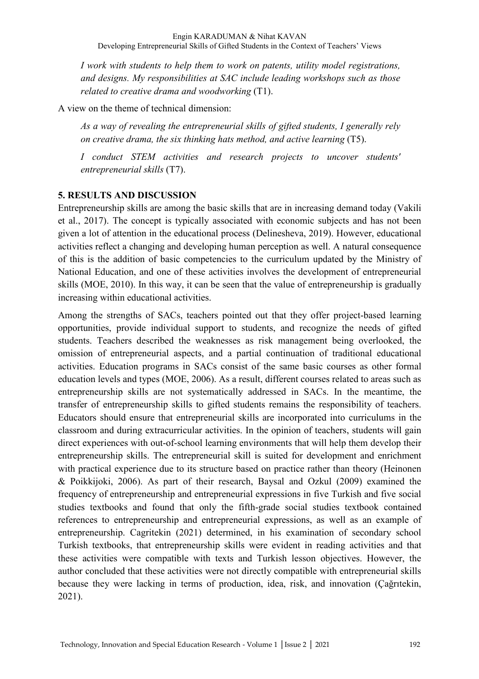*I work with students to help them to work on patents, utility model registrations, and designs. My responsibilities at SAC include leading workshops such as those related to creative drama and woodworking* (T1).

A view on the theme of technical dimension:

*As a way of revealing the entrepreneurial skills of gifted students, I generally rely on creative drama, the six thinking hats method, and active learning* (T5).

*I conduct STEM activities and research projects to uncover students' entrepreneurial skills* (T7).

## **5. RESULTS AND DISCUSSION**

Entrepreneurship skills are among the basic skills that are in increasing demand today (Vakili et al., 2017). The concept is typically associated with economic subjects and has not been given a lot of attention in the educational process (Delinesheva, 2019). However, educational activities reflect a changing and developing human perception as well. A natural consequence of this is the addition of basic competencies to the curriculum updated by the Ministry of National Education, and one of these activities involves the development of entrepreneurial skills (MOE, 2010). In this way, it can be seen that the value of entrepreneurship is gradually increasing within educational activities.

Among the strengths of SACs, teachers pointed out that they offer project-based learning opportunities, provide individual support to students, and recognize the needs of gifted students. Teachers described the weaknesses as risk management being overlooked, the omission of entrepreneurial aspects, and a partial continuation of traditional educational activities. Education programs in SACs consist of the same basic courses as other formal education levels and types (MOE, 2006). As a result, different courses related to areas such as entrepreneurship skills are not systematically addressed in SACs. In the meantime, the transfer of entrepreneurship skills to gifted students remains the responsibility of teachers. Educators should ensure that entrepreneurial skills are incorporated into curriculums in the classroom and during extracurricular activities. In the opinion of teachers, students will gain direct experiences with out-of-school learning environments that will help them develop their entrepreneurship skills. The entrepreneurial skill is suited for development and enrichment with practical experience due to its structure based on practice rather than theory (Heinonen & Poikkijoki, 2006). As part of their research, Baysal and Ozkul (2009) examined the frequency of entrepreneurship and entrepreneurial expressions in five Turkish and five social studies textbooks and found that only the fifth-grade social studies textbook contained references to entrepreneurship and entrepreneurial expressions, as well as an example of entrepreneurship. Cagritekin (2021) determined, in his examination of secondary school Turkish textbooks, that entrepreneurship skills were evident in reading activities and that these activities were compatible with texts and Turkish lesson objectives. However, the author concluded that these activities were not directly compatible with entrepreneurial skills because they were lacking in terms of production, idea, risk, and innovation (Çağrıtekin, 2021).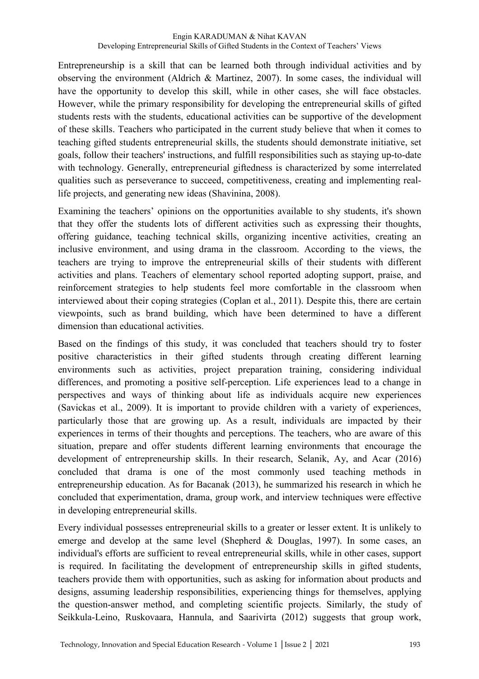Entrepreneurship is a skill that can be learned both through individual activities and by observing the environment (Aldrich & Martinez, 2007). In some cases, the individual will have the opportunity to develop this skill, while in other cases, she will face obstacles. However, while the primary responsibility for developing the entrepreneurial skills of gifted students rests with the students, educational activities can be supportive of the development of these skills. Teachers who participated in the current study believe that when it comes to teaching gifted students entrepreneurial skills, the students should demonstrate initiative, set goals, follow their teachers' instructions, and fulfill responsibilities such as staying up-to-date with technology. Generally, entrepreneurial giftedness is characterized by some interrelated qualities such as perseverance to succeed, competitiveness, creating and implementing reallife projects, and generating new ideas (Shavinina, 2008).

Examining the teachers' opinions on the opportunities available to shy students, it's shown that they offer the students lots of different activities such as expressing their thoughts, offering guidance, teaching technical skills, organizing incentive activities, creating an inclusive environment, and using drama in the classroom. According to the views, the teachers are trying to improve the entrepreneurial skills of their students with different activities and plans. Teachers of elementary school reported adopting support, praise, and reinforcement strategies to help students feel more comfortable in the classroom when interviewed about their coping strategies (Coplan et al., 2011). Despite this, there are certain viewpoints, such as brand building, which have been determined to have a different dimension than educational activities.

Based on the findings of this study, it was concluded that teachers should try to foster positive characteristics in their gifted students through creating different learning environments such as activities, project preparation training, considering individual differences, and promoting a positive self-perception. Life experiences lead to a change in perspectives and ways of thinking about life as individuals acquire new experiences (Savickas et al., 2009). It is important to provide children with a variety of experiences, particularly those that are growing up. As a result, individuals are impacted by their experiences in terms of their thoughts and perceptions. The teachers, who are aware of this situation, prepare and offer students different learning environments that encourage the development of entrepreneurship skills. In their research, Selanik, Ay, and Acar (2016) concluded that drama is one of the most commonly used teaching methods in entrepreneurship education. As for Bacanak (2013), he summarized his research in which he concluded that experimentation, drama, group work, and interview techniques were effective in developing entrepreneurial skills.

Every individual possesses entrepreneurial skills to a greater or lesser extent. It is unlikely to emerge and develop at the same level (Shepherd & Douglas, 1997). In some cases, an individual's efforts are sufficient to reveal entrepreneurial skills, while in other cases, support is required. In facilitating the development of entrepreneurship skills in gifted students, teachers provide them with opportunities, such as asking for information about products and designs, assuming leadership responsibilities, experiencing things for themselves, applying the question-answer method, and completing scientific projects. Similarly, the study of Seikkula-Leino, Ruskovaara, Hannula, and Saarivirta (2012) suggests that group work,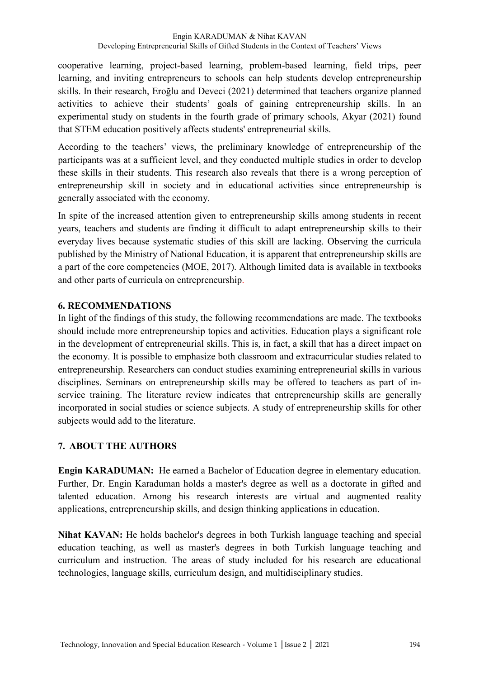cooperative learning, project-based learning, problem-based learning, field trips, peer learning, and inviting entrepreneurs to schools can help students develop entrepreneurship skills. In their research, Eroğlu and Deveci (2021) determined that teachers organize planned activities to achieve their students' goals of gaining entrepreneurship skills. In an experimental study on students in the fourth grade of primary schools, Akyar (2021) found that STEM education positively affects students' entrepreneurial skills.

According to the teachers' views, the preliminary knowledge of entrepreneurship of the participants was at a sufficient level, and they conducted multiple studies in order to develop these skills in their students. This research also reveals that there is a wrong perception of entrepreneurship skill in society and in educational activities since entrepreneurship is generally associated with the economy.

In spite of the increased attention given to entrepreneurship skills among students in recent years, teachers and students are finding it difficult to adapt entrepreneurship skills to their everyday lives because systematic studies of this skill are lacking. Observing the curricula published by the Ministry of National Education, it is apparent that entrepreneurship skills are a part of the core competencies (MOE, 2017). Although limited data is available in textbooks and other parts of curricula on entrepreneurship.

#### **6. RECOMMENDATIONS**

In light of the findings of this study, the following recommendations are made. The textbooks should include more entrepreneurship topics and activities. Education plays a significant role in the development of entrepreneurial skills. This is, in fact, a skill that has a direct impact on the economy. It is possible to emphasize both classroom and extracurricular studies related to entrepreneurship. Researchers can conduct studies examining entrepreneurial skills in various disciplines. Seminars on entrepreneurship skills may be offered to teachers as part of inservice training. The literature review indicates that entrepreneurship skills are generally incorporated in social studies or science subjects. A study of entrepreneurship skills for other subjects would add to the literature.

# **7. ABOUT THE AUTHORS**

**Engin KARADUMAN:** He earned a Bachelor of Education degree in elementary education. Further, Dr. Engin Karaduman holds a master's degree as well as a doctorate in gifted and talented education. Among his research interests are virtual and augmented reality applications, entrepreneurship skills, and design thinking applications in education.

**Nihat KAVAN:** He holds bachelor's degrees in both Turkish language teaching and special education teaching, as well as master's degrees in both Turkish language teaching and curriculum and instruction. The areas of study included for his research are educational technologies, language skills, curriculum design, and multidisciplinary studies.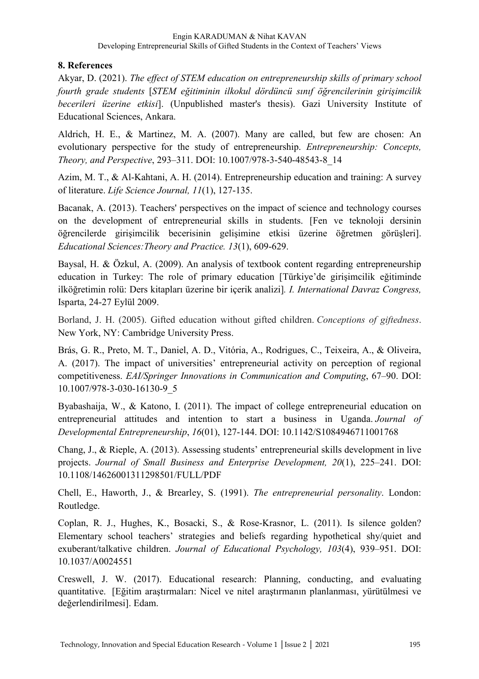#### **8. References**

Akyar, D. (2021). *The effect of STEM education on entrepreneurship skills of primary school fourth grade students* [*STEM eğitiminin ilkokul dördüncü sınıf öğrencilerinin girişimcilik becerileri üzerine etkisi*]. (Unpublished master's thesis). Gazi University Institute of Educational Sciences, Ankara.

Aldrich, H. E., & Martinez, M. A. (2007). Many are called, but few are chosen: An evolutionary perspective for the study of entrepreneurship. *Entrepreneurship: Concepts, Theory, and Perspective*, 293–311. DOI: 10.1007/978-3-540-48543-8\_14

Azim, M. T., & Al-Kahtani, A. H. (2014). Entrepreneurship education and training: A survey of literature. *Life Science Journal, 11*(1), 127-135.

Bacanak, A. (2013). Teachers' perspectives on the impact of science and technology courses on the development of entrepreneurial skills in students. [Fen ve teknoloji dersinin öğrencilerde girişimcilik becerisinin gelişimine etkisi üzerine öğretmen görüşleri]. *Educational Sciences:Theory and Practice. 13*(1), 609-629.

Baysal, H. & Özkul, A. (2009). An analysis of textbook content regarding entrepreneurship education in Turkey: The role of primary education [Türkiye'de girişimcilik eğitiminde ilköğretimin rolü: Ders kitapları üzerine bir içerik analizi]*. I. International Davraz Congress,*  Isparta, 24-27 Eylül 2009.

Borland, J. H. (2005). Gifted education without gifted children. *Conceptions of giftedness*. New York, NY: Cambridge University Press.

Brás, G. R., Preto, M. T., Daniel, A. D., Vitória, A., Rodrigues, C., Teixeira, A., & Oliveira, A. (2017). The impact of universities' entrepreneurial activity on perception of regional competitiveness. *EAI/Springer Innovations in Communication and Computing*, 67–90. DOI: 10.1007/978-3-030-16130-9\_5

Byabashaija, W., & Katono, I. (2011). The impact of college entrepreneurial education on entrepreneurial attitudes and intention to start a business in Uganda. *Journal of Developmental Entrepreneurship*, *16*(01), 127-144. DOI: 10.1142/S1084946711001768

Chang, J., & Rieple, A. (2013). Assessing students' entrepreneurial skills development in live projects. *Journal of Small Business and Enterprise Development, 20*(1), 225–241. DOI: 10.1108/14626001311298501/FULL/PDF

Chell, E., Haworth, J., & Brearley, S. (1991). *The entrepreneurial personality*. London: Routledge.

Coplan, R. J., Hughes, K., Bosacki, S., & Rose-Krasnor, L. (2011). Is silence golden? Elementary school teachers' strategies and beliefs regarding hypothetical shy/quiet and exuberant/talkative children. *Journal of Educational Psychology, 103*(4), 939–951. DOI: 10.1037/A0024551

Creswell, J. W. (2017). Educational research: Planning, conducting, and evaluating quantitative. [Eğitim araştırmaları: Nicel ve nitel araştırmanın planlanması, yürütülmesi ve değerlendirilmesi]. Edam.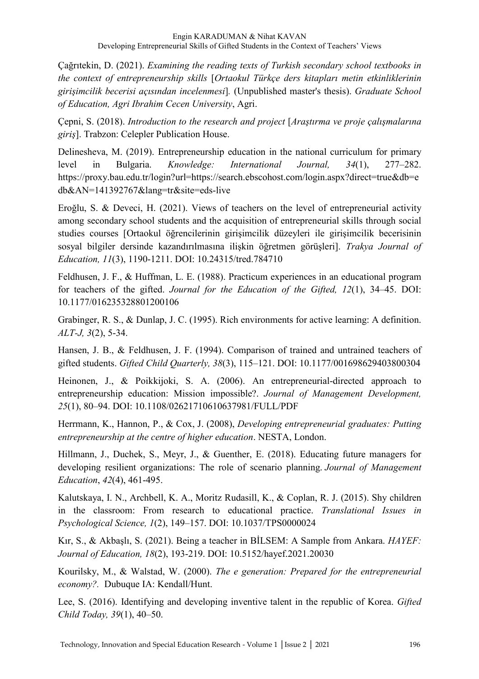Çağrıtekin, D. (2021). *Examining the reading texts of Turkish secondary school textbooks in the context of entrepreneurship skills* [*Ortaokul Türkçe ders kitapları metin etkinliklerinin girişimcilik becerisi açısından incelenmesi*]*.* (Unpublished master's thesis). *Graduate School of Education, Agri Ibrahim Cecen University*, Agri.

Çepni, S. (2018). *Introduction to the research and project* [*Araştırma ve proje çalışmalarına giriş*]. Trabzon: Celepler Publication House.

Delinesheva, M. (2019). Entrepreneurship education in the national curriculum for primary level in Bulgaria. *Knowledge: International Journal, 34*(1), 277–282. https://proxy.bau.edu.tr/login?url=https://search.ebscohost.com/login.aspx?direct=true&db=e db&AN=141392767&lang=tr&site=eds-live

Eroğlu, S. & Deveci, H. (2021). Views of teachers on the level of entrepreneurial activity among secondary school students and the acquisition of entrepreneurial skills through social studies courses [Ortaokul öğrencilerinin girişimcilik düzeyleri ile girişimcilik becerisinin sosyal bilgiler dersinde kazandırılmasına ilişkin öğretmen görüşleri]. *Trakya Journal of Education, 11*(3), 1190-1211. DOI: 10.24315/tred.784710

Feldhusen, J. F., & Huffman, L. E. (1988). Practicum experiences in an educational program for teachers of the gifted. *Journal for the Education of the Gifted, 12*(1), 34–45. DOI: 10.1177/016235328801200106

Grabinger, R. S., & Dunlap, J. C. (1995). Rich environments for active learning: A definition. *ALT-J, 3*(2), 5-34.

Hansen, J. B., & Feldhusen, J. F. (1994). Comparison of trained and untrained teachers of gifted students. *Gifted Child Quarterly, 38*(3), 115–121. DOI: 10.1177/001698629403800304

Heinonen, J., & Poikkijoki, S. A. (2006). An entrepreneurial-directed approach to entrepreneurship education: Mission impossible?. *Journal of Management Development, 25*(1), 80–94. DOI: 10.1108/02621710610637981/FULL/PDF

Herrmann, K., Hannon, P., & Cox, J. (2008), *Developing entrepreneurial graduates: Putting entrepreneurship at the centre of higher education*. NESTA, London.

Hillmann, J., Duchek, S., Meyr, J., & Guenther, E. (2018). Educating future managers for developing resilient organizations: The role of scenario planning. *Journal of Management Education*, *42*(4), 461-495.

Kalutskaya, I. N., Archbell, K. A., Moritz Rudasill, K., & Coplan, R. J. (2015). Shy children in the classroom: From research to educational practice. *Translational Issues in Psychological Science, 1*(2), 149–157. DOI: 10.1037/TPS0000024

Kır, S., & Akbaşlı, S. (2021). Being a teacher in BİLSEM: A Sample from Ankara. *HAYEF: Journal of Education, 18*(2), 193-219. DOI: 10.5152/hayef.2021.20030

Kourilsky, M., & Walstad, W. (2000). *The e generation: Prepared for the entrepreneurial economy?.* Dubuque IA: Kendall/Hunt.

Lee, S. (2016). Identifying and developing inventive talent in the republic of Korea. *Gifted Child Today, 39*(1), 40–50.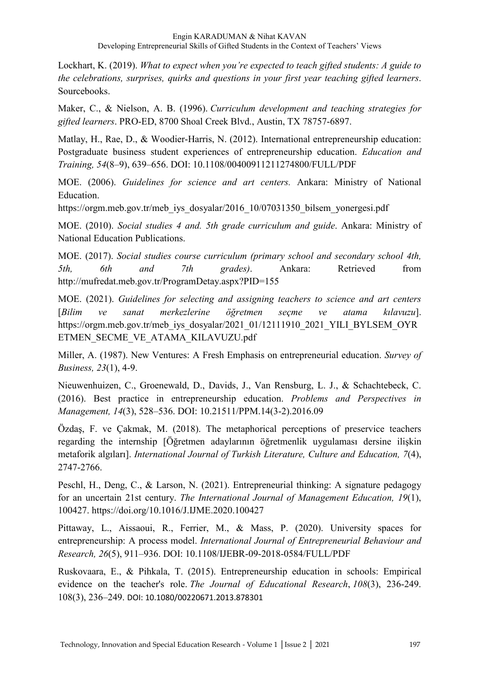Lockhart, K. (2019). *What to expect when you're expected to teach gifted students: A guide to the celebrations, surprises, quirks and questions in your first year teaching gifted learners*. Sourcebooks.

Maker, C., & Nielson, A. B. (1996). *Curriculum development and teaching strategies for gifted learners*. PRO-ED, 8700 Shoal Creek Blvd., Austin, TX 78757-6897.

Matlay, H., Rae, D., & Woodier-Harris, N. (2012). International entrepreneurship education: Postgraduate business student experiences of entrepreneurship education. *Education and Training, 54*(8–9), 639–656. DOI: 10.1108/00400911211274800/FULL/PDF

MOE. (2006). *Guidelines for science and art centers.* Ankara: Ministry of National Education.

https://orgm.meb.gov.tr/meb\_iys\_dosyalar/2016\_10/07031350\_bilsem\_yonergesi.pdf

MOE. (2010). *Social studies 4 and. 5th grade curriculum and guide*. Ankara: Ministry of National Education Publications.

MOE. (2017). *Social studies course curriculum (primary school and secondary school 4th, 5th, 6th and 7th grades)*. Ankara: Retrieved from http://mufredat.meb.gov.tr/ProgramDetay.aspx?PID=155

MOE. (2021). *Guidelines for selecting and assigning teachers to science and art centers* [*Bilim ve sanat merkezlerine öğretmen seçme ve atama kılavuzu*]. https://orgm.meb.gov.tr/meb\_iys\_dosyalar/2021\_01/12111910\_2021\_YILI\_BYLSEM\_OYR ETMEN\_SECME\_VE\_ATAMA\_KILAVUZU.pdf

Miller, A. (1987). New Ventures: A Fresh Emphasis on entrepreneurial education. *Survey of Business, 23*(1), 4-9.

Nieuwenhuizen, C., Groenewald, D., Davids, J., Van Rensburg, L. J., & Schachtebeck, C. (2016). Best practice in entrepreneurship education. *Problems and Perspectives in Management, 14*(3), 528–536. DOI: 10.21511/PPM.14(3-2).2016.09

Özdaş, F. ve Çakmak, M. (2018). The metaphorical perceptions of preservice teachers regarding the internship [Öğretmen adaylarının öğretmenlik uygulaması dersine ilişkin metaforik algıları]. *International Journal of Turkish Literature, Culture and Education, 7*(4), 2747-2766.

Peschl, H., Deng, C., & Larson, N. (2021). Entrepreneurial thinking: A signature pedagogy for an uncertain 21st century. *The International Journal of Management Education, 19*(1), 100427. https://doi.org/10.1016/J.IJME.2020.100427

Pittaway, L., Aissaoui, R., Ferrier, M., & Mass, P. (2020). University spaces for entrepreneurship: A process model. *International Journal of Entrepreneurial Behaviour and Research, 26*(5), 911–936. DOI: 10.1108/IJEBR-09-2018-0584/FULL/PDF

Ruskovaara, E., & Pihkala, T. (2015). Entrepreneurship education in schools: Empirical evidence on the teacher's role. *The Journal of Educational Research*, *108*(3), 236-249. 108(3), 236–249. DOI: 10.1080/00220671.2013.878301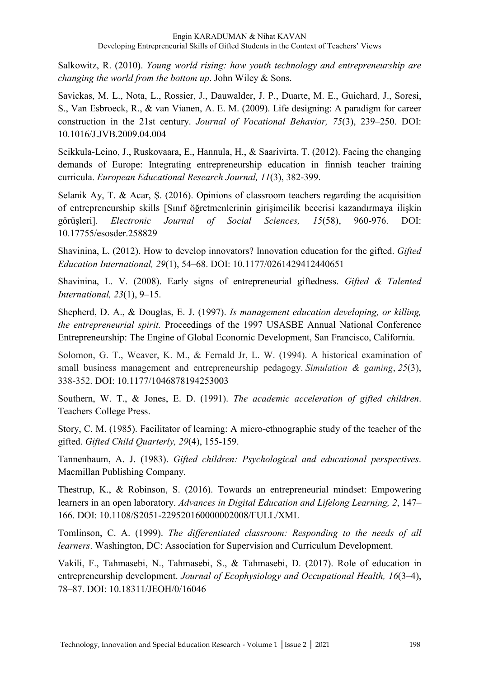Salkowitz, R. (2010). *Young world rising: how youth technology and entrepreneurship are changing the world from the bottom up*. John Wiley & Sons.

Savickas, M. L., Nota, L., Rossier, J., Dauwalder, J. P., Duarte, M. E., Guichard, J., Soresi, S., Van Esbroeck, R., & van Vianen, A. E. M. (2009). Life designing: A paradigm for career construction in the 21st century. *Journal of Vocational Behavior, 75*(3), 239–250. DOI: 10.1016/J.JVB.2009.04.004

Seikkula-Leino, J., Ruskovaara, E., Hannula, H., & Saarivirta, T. (2012). Facing the changing demands of Europe: Integrating entrepreneurship education in finnish teacher training curricula. *European Educational Research Journal, 11*(3), 382-399.

Selanik Ay, T. & Acar, Ş. (2016). Opinions of classroom teachers regarding the acquisition of entrepreneurship skills [Sınıf öğretmenlerinin girişimcilik becerisi kazandırmaya ilişkin görüşleri]. *Electronic Journal of Social Sciences, 15*(58), 960-976. DOI: 10.17755/esosder.258829

Shavinina, L. (2012). How to develop innovators? Innovation education for the gifted. *Gifted Education International, 29*(1), 54–68. DOI: 10.1177/0261429412440651

Shavinina, L. V. (2008). Early signs of entrepreneurial giftedness. *Gifted & Talented International, 23*(1), 9–15.

Shepherd, D. A., & Douglas, E. J. (1997). *Is management education developing, or killing, the entrepreneurial spirit.* Proceedings of the 1997 USASBE Annual National Conference Entrepreneurship: The Engine of Global Economic Development, San Francisco, California.

Solomon, G. T., Weaver, K. M., & Fernald Jr, L. W. (1994). A historical examination of small business management and entrepreneurship pedagogy. *Simulation & gaming*, *25*(3), 338-352. DOI: 10.1177/1046878194253003

Southern, W. T., & Jones, E. D. (1991). *The academic acceleration of gifted children*. Teachers College Press.

Story, C. M. (1985). Facilitator of learning: A micro-ethnographic study of the teacher of the gifted. *Gifted Child Quarterly, 29*(4), 155-159.

Tannenbaum, A. J. (1983). *Gifted children: Psychological and educational perspectives*. Macmillan Publishing Company.

Thestrup, K., & Robinson, S. (2016). Towards an entrepreneurial mindset: Empowering learners in an open laboratory. *Advances in Digital Education and Lifelong Learning, 2*, 147– 166. DOI: 10.1108/S2051-229520160000002008/FULL/XML

Tomlinson, C. A. (1999). *The differentiated classroom: Responding to the needs of all learners*. Washington, DC: Association for Supervision and Curriculum Development.

Vakili, F., Tahmasebi, N., Tahmasebi, S., & Tahmasebi, D. (2017). Role of education in entrepreneurship development. *Journal of Ecophysiology and Occupational Health, 16*(3–4), 78–87. DOI: 10.18311/JEOH/0/16046